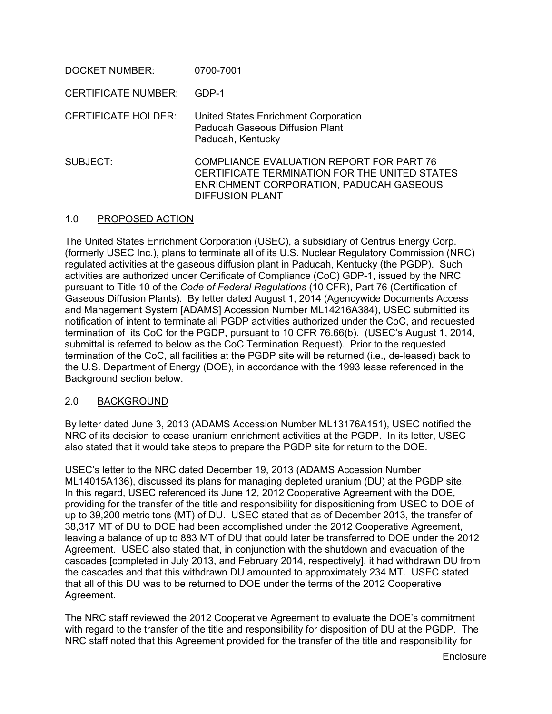| DOCKET NUMBER:             | 0700-7001                                                                                                                                                      |
|----------------------------|----------------------------------------------------------------------------------------------------------------------------------------------------------------|
| <b>CERTIFICATE NUMBER:</b> | GDP-1                                                                                                                                                          |
| <b>CERTIFICATE HOLDER:</b> | United States Enrichment Corporation<br>Paducah Gaseous Diffusion Plant<br>Paducah, Kentucky                                                                   |
| SUBJECT:                   | COMPLIANCE EVALUATION REPORT FOR PART 76<br>CERTIFICATE TERMINATION FOR THE UNITED STATES<br>ENRICHMENT CORPORATION, PADUCAH GASEOUS<br><b>DIFFUSION PLANT</b> |

### 1.0 PROPOSED ACTION

The United States Enrichment Corporation (USEC), a subsidiary of Centrus Energy Corp. (formerly USEC Inc.), plans to terminate all of its U.S. Nuclear Regulatory Commission (NRC) regulated activities at the gaseous diffusion plant in Paducah, Kentucky (the PGDP). Such activities are authorized under Certificate of Compliance (CoC) GDP-1, issued by the NRC pursuant to Title 10 of the *Code of Federal Regulations* (10 CFR), Part 76 (Certification of Gaseous Diffusion Plants). By letter dated August 1, 2014 (Agencywide Documents Access and Management System [ADAMS] Accession Number ML14216A384), USEC submitted its notification of intent to terminate all PGDP activities authorized under the CoC, and requested termination of its CoC for the PGDP, pursuant to 10 CFR 76.66(b). (USEC's August 1, 2014, submittal is referred to below as the CoC Termination Request). Prior to the requested termination of the CoC, all facilities at the PGDP site will be returned (i.e., de-leased) back to the U.S. Department of Energy (DOE), in accordance with the 1993 lease referenced in the Background section below.

## 2.0 BACKGROUND

By letter dated June 3, 2013 (ADAMS Accession Number ML13176A151), USEC notified the NRC of its decision to cease uranium enrichment activities at the PGDP. In its letter, USEC also stated that it would take steps to prepare the PGDP site for return to the DOE.

USEC's letter to the NRC dated December 19, 2013 (ADAMS Accession Number ML14015A136), discussed its plans for managing depleted uranium (DU) at the PGDP site. In this regard, USEC referenced its June 12, 2012 Cooperative Agreement with the DOE, providing for the transfer of the title and responsibility for dispositioning from USEC to DOE of up to 39,200 metric tons (MT) of DU. USEC stated that as of December 2013, the transfer of 38,317 MT of DU to DOE had been accomplished under the 2012 Cooperative Agreement, leaving a balance of up to 883 MT of DU that could later be transferred to DOE under the 2012 Agreement. USEC also stated that, in conjunction with the shutdown and evacuation of the cascades [completed in July 2013, and February 2014, respectively], it had withdrawn DU from the cascades and that this withdrawn DU amounted to approximately 234 MT. USEC stated that all of this DU was to be returned to DOE under the terms of the 2012 Cooperative Agreement.

The NRC staff reviewed the 2012 Cooperative Agreement to evaluate the DOE's commitment with regard to the transfer of the title and responsibility for disposition of DU at the PGDP. The NRC staff noted that this Agreement provided for the transfer of the title and responsibility for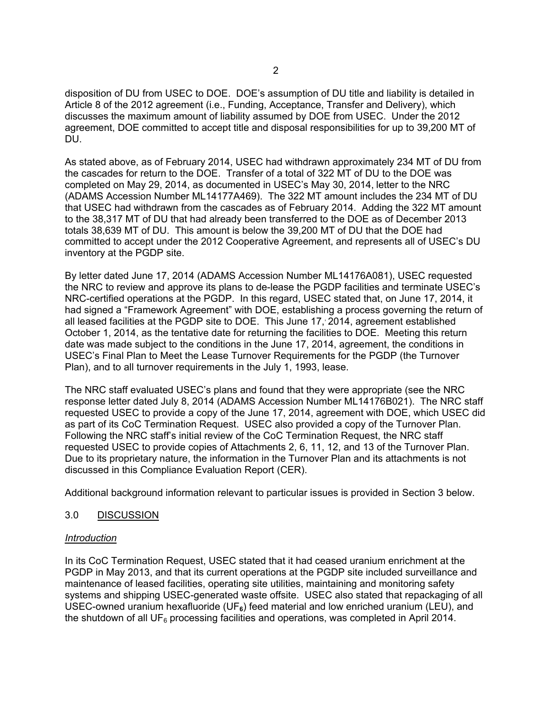disposition of DU from USEC to DOE. DOE's assumption of DU title and liability is detailed in Article 8 of the 2012 agreement (i.e., Funding, Acceptance, Transfer and Delivery), which discusses the maximum amount of liability assumed by DOE from USEC. Under the 2012 agreement, DOE committed to accept title and disposal responsibilities for up to 39,200 MT of DU.

As stated above, as of February 2014, USEC had withdrawn approximately 234 MT of DU from the cascades for return to the DOE. Transfer of a total of 322 MT of DU to the DOE was completed on May 29, 2014, as documented in USEC's May 30, 2014, letter to the NRC (ADAMS Accession Number ML14177A469). The 322 MT amount includes the 234 MT of DU that USEC had withdrawn from the cascades as of February 2014. Adding the 322 MT amount to the 38,317 MT of DU that had already been transferred to the DOE as of December 2013 totals 38,639 MT of DU. This amount is below the 39,200 MT of DU that the DOE had committed to accept under the 2012 Cooperative Agreement, and represents all of USEC's DU inventory at the PGDP site.

By letter dated June 17, 2014 (ADAMS Accession Number ML14176A081), USEC requested the NRC to review and approve its plans to de-lease the PGDP facilities and terminate USEC's NRC-certified operations at the PGDP. In this regard, USEC stated that, on June 17, 2014, it had signed a "Framework Agreement" with DOE, establishing a process governing the return of all leased facilities at the PGDP site to DOE. This June 17,, 2014, agreement established October 1, 2014, as the tentative date for returning the facilities to DOE. Meeting this return date was made subject to the conditions in the June 17, 2014, agreement, the conditions in USEC's Final Plan to Meet the Lease Turnover Requirements for the PGDP (the Turnover Plan), and to all turnover requirements in the July 1, 1993, lease.

The NRC staff evaluated USEC's plans and found that they were appropriate (see the NRC response letter dated July 8, 2014 (ADAMS Accession Number ML14176B021). The NRC staff requested USEC to provide a copy of the June 17, 2014, agreement with DOE, which USEC did as part of its CoC Termination Request. USEC also provided a copy of the Turnover Plan. Following the NRC staff's initial review of the CoC Termination Request, the NRC staff requested USEC to provide copies of Attachments 2, 6, 11, 12, and 13 of the Turnover Plan. Due to its proprietary nature, the information in the Turnover Plan and its attachments is not discussed in this Compliance Evaluation Report (CER).

Additional background information relevant to particular issues is provided in Section 3 below.

## 3.0 DISCUSSION

#### *Introduction*

In its CoC Termination Request, USEC stated that it had ceased uranium enrichment at the PGDP in May 2013, and that its current operations at the PGDP site included surveillance and maintenance of leased facilities, operating site utilities, maintaining and monitoring safety systems and shipping USEC-generated waste offsite. USEC also stated that repackaging of all USEC-owned uranium hexafluoride (UF**6**) feed material and low enriched uranium (LEU), and the shutdown of all UF<sub>6</sub> processing facilities and operations, was completed in April 2014.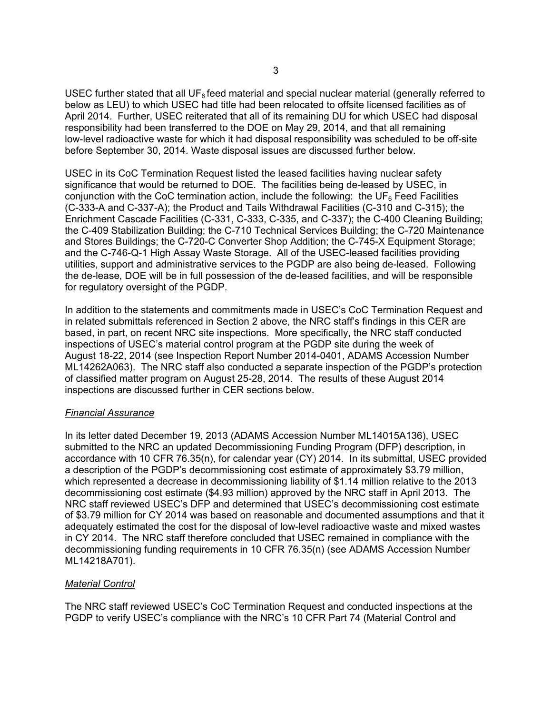USEC further stated that all UF<sub>6</sub> feed material and special nuclear material (generally referred to below as LEU) to which USEC had title had been relocated to offsite licensed facilities as of April 2014. Further, USEC reiterated that all of its remaining DU for which USEC had disposal responsibility had been transferred to the DOE on May 29, 2014, and that all remaining low-level radioactive waste for which it had disposal responsibility was scheduled to be off-site before September 30, 2014. Waste disposal issues are discussed further below.

USEC in its CoC Termination Request listed the leased facilities having nuclear safety significance that would be returned to DOE. The facilities being de-leased by USEC, in conjunction with the CoC termination action, include the following: the UF $_6$  Feed Facilities (C-333-A and C-337-A); the Product and Tails Withdrawal Facilities (C-310 and C-315); the Enrichment Cascade Facilities (C-331, C-333, C-335, and C-337); the C-400 Cleaning Building; the C-409 Stabilization Building; the C-710 Technical Services Building; the C-720 Maintenance and Stores Buildings; the C-720-C Converter Shop Addition; the C-745-X Equipment Storage; and the C-746-Q-1 High Assay Waste Storage. All of the USEC-leased facilities providing utilities, support and administrative services to the PGDP are also being de-leased. Following the de-lease, DOE will be in full possession of the de-leased facilities, and will be responsible for regulatory oversight of the PGDP.

In addition to the statements and commitments made in USEC's CoC Termination Request and in related submittals referenced in Section 2 above, the NRC staff's findings in this CER are based, in part, on recent NRC site inspections. More specifically, the NRC staff conducted inspections of USEC's material control program at the PGDP site during the week of August 18-22, 2014 (see Inspection Report Number 2014-0401, ADAMS Accession Number ML14262A063). The NRC staff also conducted a separate inspection of the PGDP's protection of classified matter program on August 25-28, 2014. The results of these August 2014 inspections are discussed further in CER sections below.

#### *Financial Assurance*

In its letter dated December 19, 2013 (ADAMS Accession Number ML14015A136), USEC submitted to the NRC an updated Decommissioning Funding Program (DFP) description, in accordance with 10 CFR 76.35(n), for calendar year (CY) 2014. In its submittal, USEC provided a description of the PGDP's decommissioning cost estimate of approximately \$3.79 million, which represented a decrease in decommissioning liability of \$1.14 million relative to the 2013 decommissioning cost estimate (\$4.93 million) approved by the NRC staff in April 2013. The NRC staff reviewed USEC's DFP and determined that USEC's decommissioning cost estimate of \$3.79 million for CY 2014 was based on reasonable and documented assumptions and that it adequately estimated the cost for the disposal of low-level radioactive waste and mixed wastes in CY 2014. The NRC staff therefore concluded that USEC remained in compliance with the decommissioning funding requirements in 10 CFR 76.35(n) (see ADAMS Accession Number ML14218A701).

## *Material Control*

The NRC staff reviewed USEC's CoC Termination Request and conducted inspections at the PGDP to verify USEC's compliance with the NRC's 10 CFR Part 74 (Material Control and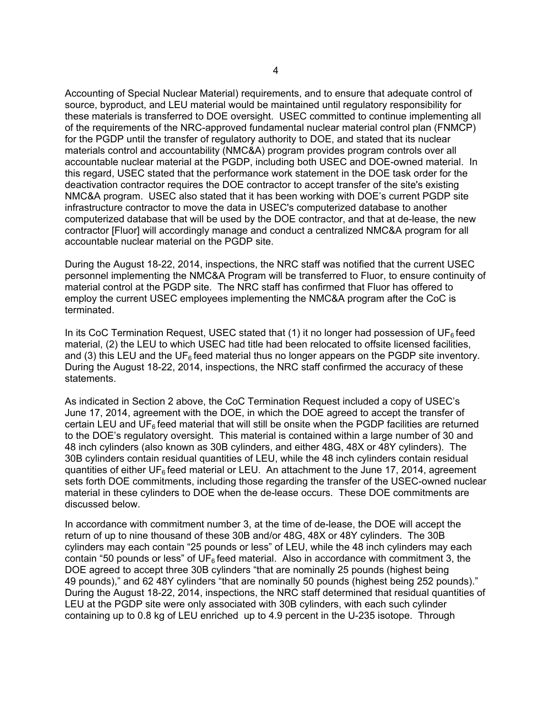Accounting of Special Nuclear Material) requirements, and to ensure that adequate control of source, byproduct, and LEU material would be maintained until regulatory responsibility for these materials is transferred to DOE oversight. USEC committed to continue implementing all of the requirements of the NRC-approved fundamental nuclear material control plan (FNMCP) for the PGDP until the transfer of regulatory authority to DOE, and stated that its nuclear materials control and accountability (NMC&A) program provides program controls over all accountable nuclear material at the PGDP, including both USEC and DOE-owned material. In this regard, USEC stated that the performance work statement in the DOE task order for the deactivation contractor requires the DOE contractor to accept transfer of the site's existing NMC&A program. USEC also stated that it has been working with DOE's current PGDP site infrastructure contractor to move the data in USEC's computerized database to another computerized database that will be used by the DOE contractor, and that at de-lease, the new contractor [Fluor] will accordingly manage and conduct a centralized NMC&A program for all accountable nuclear material on the PGDP site.

During the August 18-22, 2014, inspections, the NRC staff was notified that the current USEC personnel implementing the NMC&A Program will be transferred to Fluor, to ensure continuity of material control at the PGDP site. The NRC staff has confirmed that Fluor has offered to employ the current USEC employees implementing the NMC&A program after the CoC is terminated.

In its CoC Termination Request, USEC stated that  $(1)$  it no longer had possession of UF<sub>6</sub> feed material, (2) the LEU to which USEC had title had been relocated to offsite licensed facilities, and (3) this LEU and the UF<sub>6</sub> feed material thus no longer appears on the PGDP site inventory. During the August 18-22, 2014, inspections, the NRC staff confirmed the accuracy of these statements.

As indicated in Section 2 above, the CoC Termination Request included a copy of USEC's June 17, 2014, agreement with the DOE, in which the DOE agreed to accept the transfer of certain LEU and  $UF<sub>6</sub>$  feed material that will still be onsite when the PGDP facilities are returned to the DOE's regulatory oversight. This material is contained within a large number of 30 and 48 inch cylinders (also known as 30B cylinders, and either 48G, 48X or 48Y cylinders). The 30B cylinders contain residual quantities of LEU, while the 48 inch cylinders contain residual quantities of either UF<sub>6</sub> feed material or LEU. An attachment to the June 17, 2014, agreement sets forth DOE commitments, including those regarding the transfer of the USEC-owned nuclear material in these cylinders to DOE when the de-lease occurs. These DOE commitments are discussed below.

In accordance with commitment number 3, at the time of de-lease, the DOE will accept the return of up to nine thousand of these 30B and/or 48G, 48X or 48Y cylinders. The 30B cylinders may each contain "25 pounds or less" of LEU, while the 48 inch cylinders may each contain "50 pounds or less" of UF $_6$  feed material. Also in accordance with commitment 3, the DOE agreed to accept three 30B cylinders "that are nominally 25 pounds (highest being 49 pounds)," and 62 48Y cylinders "that are nominally 50 pounds (highest being 252 pounds)." During the August 18-22, 2014, inspections, the NRC staff determined that residual quantities of LEU at the PGDP site were only associated with 30B cylinders, with each such cylinder containing up to 0.8 kg of LEU enriched up to 4.9 percent in the U-235 isotope. Through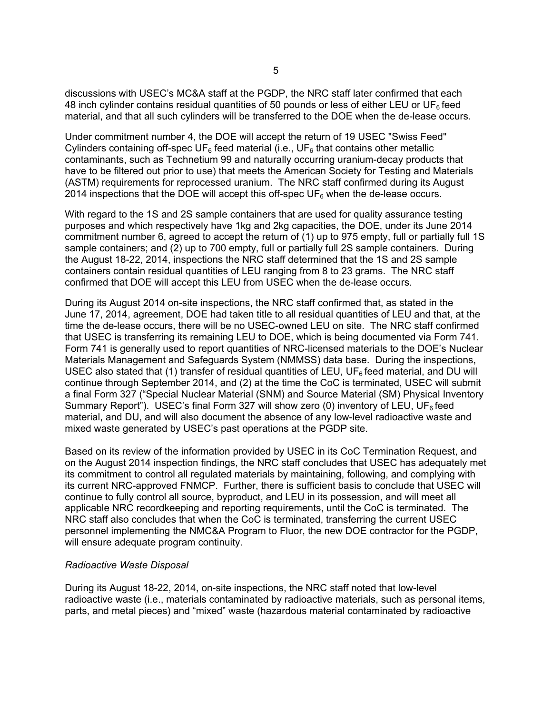discussions with USEC's MC&A staff at the PGDP, the NRC staff later confirmed that each 48 inch cylinder contains residual quantities of 50 pounds or less of either LEU or UF $<sub>6</sub>$  feed</sub> material, and that all such cylinders will be transferred to the DOE when the de-lease occurs.

Under commitment number 4, the DOE will accept the return of 19 USEC "Swiss Feed" Cylinders containing off-spec  $UF_6$  feed material (i.e.,  $UF_6$  that contains other metallic contaminants, such as Technetium 99 and naturally occurring uranium-decay products that have to be filtered out prior to use) that meets the American Society for Testing and Materials (ASTM) requirements for reprocessed uranium. The NRC staff confirmed during its August 2014 inspections that the DOE will accept this off-spec  $UF<sub>6</sub>$  when the de-lease occurs.

With regard to the 1S and 2S sample containers that are used for quality assurance testing purposes and which respectively have 1kg and 2kg capacities, the DOE, under its June 2014 commitment number 6, agreed to accept the return of (1) up to 975 empty, full or partially full 1S sample containers; and (2) up to 700 empty, full or partially full 2S sample containers. During the August 18-22, 2014, inspections the NRC staff determined that the 1S and 2S sample containers contain residual quantities of LEU ranging from 8 to 23 grams. The NRC staff confirmed that DOE will accept this LEU from USEC when the de-lease occurs.

During its August 2014 on-site inspections, the NRC staff confirmed that, as stated in the June 17, 2014, agreement, DOE had taken title to all residual quantities of LEU and that, at the time the de-lease occurs, there will be no USEC-owned LEU on site. The NRC staff confirmed that USEC is transferring its remaining LEU to DOE, which is being documented via Form 741. Form 741 is generally used to report quantities of NRC-licensed materials to the DOE's Nuclear Materials Management and Safeguards System (NMMSS) data base. During the inspections, USEC also stated that (1) transfer of residual quantities of LEU,  $UF<sub>6</sub>$  feed material, and DU will continue through September 2014, and (2) at the time the CoC is terminated, USEC will submit a final Form 327 ("Special Nuclear Material (SNM) and Source Material (SM) Physical Inventory Summary Report"). USEC's final Form 327 will show zero (0) inventory of LEU, UF $_6$  feed material, and DU, and will also document the absence of any low-level radioactive waste and mixed waste generated by USEC's past operations at the PGDP site.

Based on its review of the information provided by USEC in its CoC Termination Request, and on the August 2014 inspection findings, the NRC staff concludes that USEC has adequately met its commitment to control all regulated materials by maintaining, following, and complying with its current NRC-approved FNMCP. Further, there is sufficient basis to conclude that USEC will continue to fully control all source, byproduct, and LEU in its possession, and will meet all applicable NRC recordkeeping and reporting requirements, until the CoC is terminated. The NRC staff also concludes that when the CoC is terminated, transferring the current USEC personnel implementing the NMC&A Program to Fluor, the new DOE contractor for the PGDP, will ensure adequate program continuity.

#### *Radioactive Waste Disposal*

During its August 18-22, 2014, on-site inspections, the NRC staff noted that low-level radioactive waste (i.e., materials contaminated by radioactive materials, such as personal items, parts, and metal pieces) and "mixed" waste (hazardous material contaminated by radioactive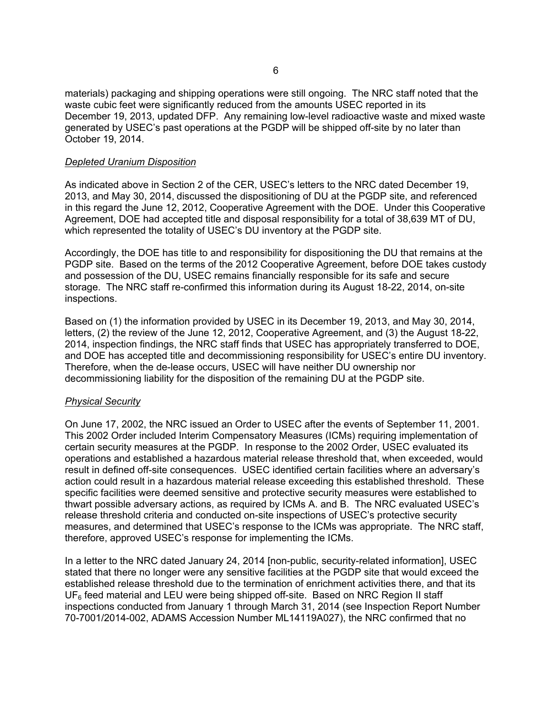materials) packaging and shipping operations were still ongoing. The NRC staff noted that the waste cubic feet were significantly reduced from the amounts USEC reported in its December 19, 2013, updated DFP. Any remaining low-level radioactive waste and mixed waste generated by USEC's past operations at the PGDP will be shipped off-site by no later than October 19, 2014.

#### *Depleted Uranium Disposition*

As indicated above in Section 2 of the CER, USEC's letters to the NRC dated December 19, 2013, and May 30, 2014, discussed the dispositioning of DU at the PGDP site, and referenced in this regard the June 12, 2012, Cooperative Agreement with the DOE. Under this Cooperative Agreement, DOE had accepted title and disposal responsibility for a total of 38,639 MT of DU, which represented the totality of USEC's DU inventory at the PGDP site.

Accordingly, the DOE has title to and responsibility for dispositioning the DU that remains at the PGDP site. Based on the terms of the 2012 Cooperative Agreement, before DOE takes custody and possession of the DU, USEC remains financially responsible for its safe and secure storage. The NRC staff re-confirmed this information during its August 18-22, 2014, on-site inspections.

Based on (1) the information provided by USEC in its December 19, 2013, and May 30, 2014, letters, (2) the review of the June 12, 2012, Cooperative Agreement, and (3) the August 18-22, 2014, inspection findings, the NRC staff finds that USEC has appropriately transferred to DOE, and DOE has accepted title and decommissioning responsibility for USEC's entire DU inventory. Therefore, when the de-lease occurs, USEC will have neither DU ownership nor decommissioning liability for the disposition of the remaining DU at the PGDP site.

## *Physical Security*

On June 17, 2002, the NRC issued an Order to USEC after the events of September 11, 2001. This 2002 Order included Interim Compensatory Measures (ICMs) requiring implementation of certain security measures at the PGDP. In response to the 2002 Order, USEC evaluated its operations and established a hazardous material release threshold that, when exceeded, would result in defined off-site consequences. USEC identified certain facilities where an adversary's action could result in a hazardous material release exceeding this established threshold. These specific facilities were deemed sensitive and protective security measures were established to thwart possible adversary actions, as required by ICMs A. and B. The NRC evaluated USEC's release threshold criteria and conducted on-site inspections of USEC's protective security measures, and determined that USEC's response to the ICMs was appropriate. The NRC staff, therefore, approved USEC's response for implementing the ICMs.

In a letter to the NRC dated January 24, 2014 [non-public, security-related information], USEC stated that there no longer were any sensitive facilities at the PGDP site that would exceed the established release threshold due to the termination of enrichment activities there, and that its  $UF<sub>6</sub>$  feed material and LEU were being shipped off-site. Based on NRC Region II staff inspections conducted from January 1 through March 31, 2014 (see Inspection Report Number 70-7001/2014-002, ADAMS Accession Number ML14119A027), the NRC confirmed that no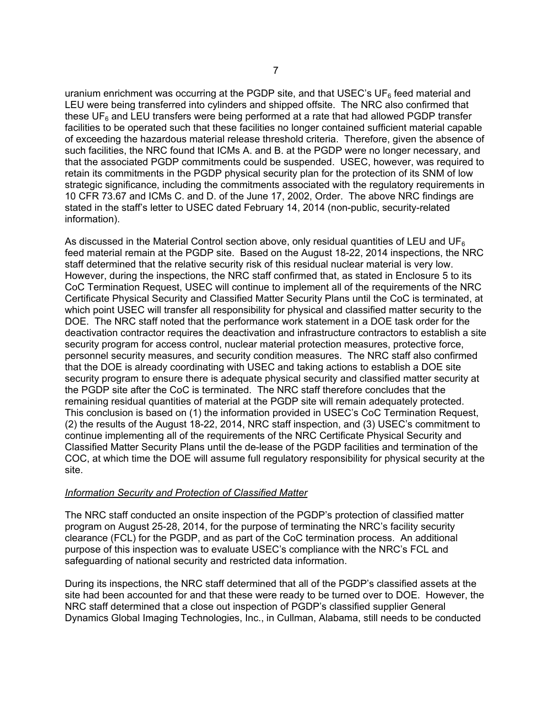uranium enrichment was occurring at the PGDP site, and that USEC's  $UF<sub>6</sub>$  feed material and LEU were being transferred into cylinders and shipped offsite. The NRC also confirmed that these  $UF<sub>6</sub>$  and LEU transfers were being performed at a rate that had allowed PGDP transfer facilities to be operated such that these facilities no longer contained sufficient material capable of exceeding the hazardous material release threshold criteria. Therefore, given the absence of such facilities, the NRC found that ICMs A. and B. at the PGDP were no longer necessary, and that the associated PGDP commitments could be suspended. USEC, however, was required to retain its commitments in the PGDP physical security plan for the protection of its SNM of low strategic significance, including the commitments associated with the regulatory requirements in 10 CFR 73.67 and ICMs C. and D. of the June 17, 2002, Order. The above NRC findings are stated in the staff's letter to USEC dated February 14, 2014 (non-public, security-related information).

As discussed in the Material Control section above, only residual quantities of LEU and UF $_6$ feed material remain at the PGDP site. Based on the August 18-22, 2014 inspections, the NRC staff determined that the relative security risk of this residual nuclear material is very low. However, during the inspections, the NRC staff confirmed that, as stated in Enclosure 5 to its CoC Termination Request, USEC will continue to implement all of the requirements of the NRC Certificate Physical Security and Classified Matter Security Plans until the CoC is terminated, at which point USEC will transfer all responsibility for physical and classified matter security to the DOE. The NRC staff noted that the performance work statement in a DOE task order for the deactivation contractor requires the deactivation and infrastructure contractors to establish a site security program for access control, nuclear material protection measures, protective force, personnel security measures, and security condition measures. The NRC staff also confirmed that the DOE is already coordinating with USEC and taking actions to establish a DOE site security program to ensure there is adequate physical security and classified matter security at the PGDP site after the CoC is terminated. The NRC staff therefore concludes that the remaining residual quantities of material at the PGDP site will remain adequately protected. This conclusion is based on (1) the information provided in USEC's CoC Termination Request, (2) the results of the August 18-22, 2014, NRC staff inspection, and (3) USEC's commitment to continue implementing all of the requirements of the NRC Certificate Physical Security and Classified Matter Security Plans until the de-lease of the PGDP facilities and termination of the COC, at which time the DOE will assume full regulatory responsibility for physical security at the site.

#### *Information Security and Protection of Classified Matter*

The NRC staff conducted an onsite inspection of the PGDP's protection of classified matter program on August 25-28, 2014, for the purpose of terminating the NRC's facility security clearance (FCL) for the PGDP, and as part of the CoC termination process. An additional purpose of this inspection was to evaluate USEC's compliance with the NRC's FCL and safeguarding of national security and restricted data information.

During its inspections, the NRC staff determined that all of the PGDP's classified assets at the site had been accounted for and that these were ready to be turned over to DOE. However, the NRC staff determined that a close out inspection of PGDP's classified supplier General Dynamics Global Imaging Technologies, Inc., in Cullman, Alabama, still needs to be conducted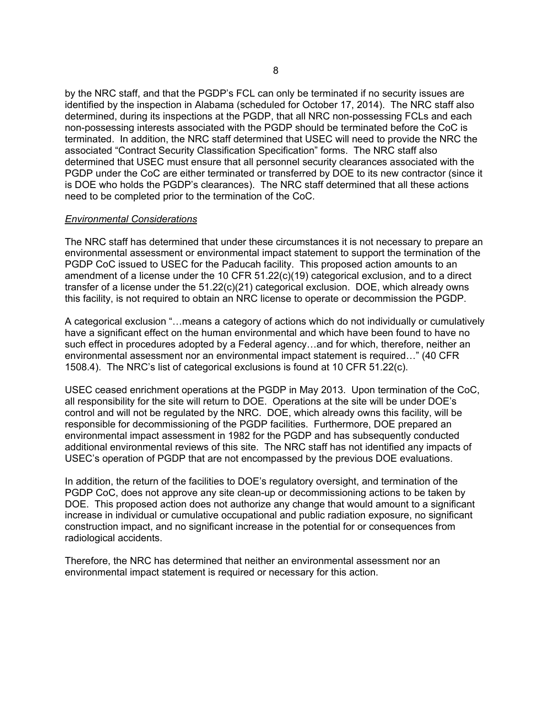by the NRC staff, and that the PGDP's FCL can only be terminated if no security issues are identified by the inspection in Alabama (scheduled for October 17, 2014). The NRC staff also determined, during its inspections at the PGDP, that all NRC non-possessing FCLs and each non-possessing interests associated with the PGDP should be terminated before the CoC is terminated. In addition, the NRC staff determined that USEC will need to provide the NRC the associated "Contract Security Classification Specification" forms. The NRC staff also determined that USEC must ensure that all personnel security clearances associated with the PGDP under the CoC are either terminated or transferred by DOE to its new contractor (since it is DOE who holds the PGDP's clearances). The NRC staff determined that all these actions need to be completed prior to the termination of the CoC.

#### *Environmental Considerations*

The NRC staff has determined that under these circumstances it is not necessary to prepare an environmental assessment or environmental impact statement to support the termination of the PGDP CoC issued to USEC for the Paducah facility. This proposed action amounts to an amendment of a license under the 10 CFR 51.22(c)(19) categorical exclusion, and to a direct transfer of a license under the 51.22(c)(21) categorical exclusion. DOE, which already owns this facility, is not required to obtain an NRC license to operate or decommission the PGDP.

A categorical exclusion "…means a category of actions which do not individually or cumulatively have a significant effect on the human environmental and which have been found to have no such effect in procedures adopted by a Federal agency…and for which, therefore, neither an environmental assessment nor an environmental impact statement is required…" (40 CFR 1508.4). The NRC's list of categorical exclusions is found at 10 CFR 51.22(c).

USEC ceased enrichment operations at the PGDP in May 2013. Upon termination of the CoC, all responsibility for the site will return to DOE. Operations at the site will be under DOE's control and will not be regulated by the NRC. DOE, which already owns this facility, will be responsible for decommissioning of the PGDP facilities. Furthermore, DOE prepared an environmental impact assessment in 1982 for the PGDP and has subsequently conducted additional environmental reviews of this site. The NRC staff has not identified any impacts of USEC's operation of PGDP that are not encompassed by the previous DOE evaluations.

In addition, the return of the facilities to DOE's regulatory oversight, and termination of the PGDP CoC, does not approve any site clean-up or decommissioning actions to be taken by DOE. This proposed action does not authorize any change that would amount to a significant increase in individual or cumulative occupational and public radiation exposure, no significant construction impact, and no significant increase in the potential for or consequences from radiological accidents.

Therefore, the NRC has determined that neither an environmental assessment nor an environmental impact statement is required or necessary for this action.